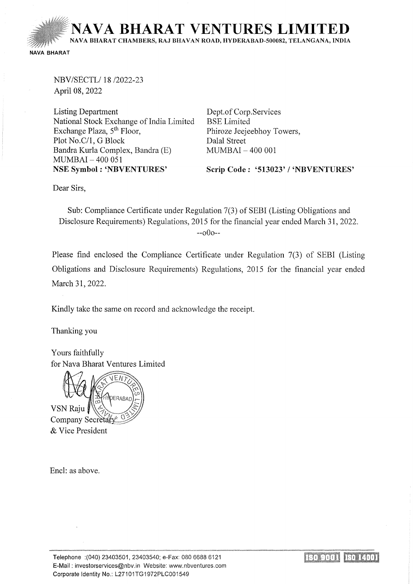**NA VA BHARA T VENTURES LIMITED**  NA VA BHARAT CHAMBERS, RAJ BHA VAN ROAD, HYDERABAD-500082, TELANGANA, INDIA NAVA BHARAT

NBV/SECTL/18 /2022-23 April 08, 2022

Listing Department National Stock Exchange of India Limited Exchange Plaza, 5<sup>th</sup> Floor, Plot No.C/1, G Block Bandra Kurla Complex, Bandra (E) MUMBAI- 400 051 NSE Symbol: 'NBVENTURES'

Dept. of Corp.Services BSE Limited Phiroze Jeejeebhoy Towers, Dalal Street MUMBAI - 400 001

Scrip Code: '513023' / 'NBVENTURES'

Dear Sirs,

Sub: Compliance Certificate under Regulation 7(3) of SEBI (Listing Obligations and Disclosure Requirements) Regulations, 2015 for the financial year ended March 31, 2022. --oOo--

Please find enclosed the Compliance Certificate under Regulation 7(3) of SEBI (Listing Obligations and Disclosure Requirements) Regulations, 2015 for the financial year ended March 31, 2022.

Kindly take the same on record and acknowledge the receipt.

Thanking you

Yours faithfully for Nava Bharat Ventures Limited



Encl: as above.